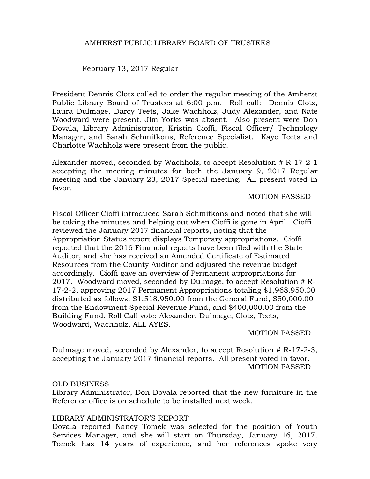## AMHERST PUBLIC LIBRARY BOARD OF TRUSTEES

February 13, 2017 Regular

President Dennis Clotz called to order the regular meeting of the Amherst Public Library Board of Trustees at 6:00 p.m. Roll call: Dennis Clotz, Laura Dulmage, Darcy Teets, Jake Wachholz, Judy Alexander, and Nate Woodward were present. Jim Yorks was absent. Also present were Don Dovala, Library Administrator, Kristin Cioffi, Fiscal Officer/ Technology Manager, and Sarah Schmitkons, Reference Specialist. Kaye Teets and Charlotte Wachholz were present from the public.

Alexander moved, seconded by Wachholz, to accept Resolution # R-17-2-1 accepting the meeting minutes for both the January 9, 2017 Regular meeting and the January 23, 2017 Special meeting. All present voted in favor.

#### MOTION PASSED

Fiscal Officer Cioffi introduced Sarah Schmitkons and noted that she will be taking the minutes and helping out when Cioffi is gone in April. Cioffi reviewed the January 2017 financial reports, noting that the Appropriation Status report displays Temporary appropriations. Cioffi reported that the 2016 Financial reports have been filed with the State Auditor, and she has received an Amended Certificate of Estimated Resources from the County Auditor and adjusted the revenue budget accordingly. Cioffi gave an overview of Permanent appropriations for 2017. Woodward moved, seconded by Dulmage, to accept Resolution # R-17-2-2, approving 2017 Permanent Appropriations totaling \$1,968,950.00 distributed as follows: \$1,518,950.00 from the General Fund, \$50,000.00 from the Endowment Special Revenue Fund, and \$400,000.00 from the Building Fund. Roll Call vote: Alexander, Dulmage, Clotz, Teets, Woodward, Wachholz, ALL AYES.

MOTION PASSED

Dulmage moved, seconded by Alexander, to accept Resolution # R-17-2-3, accepting the January 2017 financial reports. All present voted in favor. MOTION PASSED

## OLD BUSINESS

Library Administrator, Don Dovala reported that the new furniture in the Reference office is on schedule to be installed next week.

#### LIBRARY ADMINISTRATOR'S REPORT

Dovala reported Nancy Tomek was selected for the position of Youth Services Manager, and she will start on Thursday, January 16, 2017. Tomek has 14 years of experience, and her references spoke very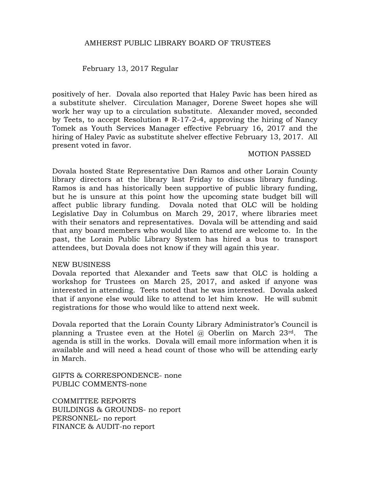## AMHERST PUBLIC LIBRARY BOARD OF TRUSTEES

February 13, 2017 Regular

positively of her. Dovala also reported that Haley Pavic has been hired as a substitute shelver. Circulation Manager, Dorene Sweet hopes she will work her way up to a circulation substitute. Alexander moved, seconded by Teets, to accept Resolution  $# R-17-2-4$ , approving the hiring of Nancy Tomek as Youth Services Manager effective February 16, 2017 and the hiring of Haley Pavic as substitute shelver effective February 13, 2017. All present voted in favor.

#### MOTION PASSED

Dovala hosted State Representative Dan Ramos and other Lorain County library directors at the library last Friday to discuss library funding. Ramos is and has historically been supportive of public library funding, but he is unsure at this point how the upcoming state budget bill will affect public library funding. Dovala noted that OLC will be holding Legislative Day in Columbus on March 29, 2017, where libraries meet with their senators and representatives. Dovala will be attending and said that any board members who would like to attend are welcome to. In the past, the Lorain Public Library System has hired a bus to transport attendees, but Dovala does not know if they will again this year.

#### NEW BUSINESS

Dovala reported that Alexander and Teets saw that OLC is holding a workshop for Trustees on March 25, 2017, and asked if anyone was interested in attending. Teets noted that he was interested. Dovala asked that if anyone else would like to attend to let him know. He will submit registrations for those who would like to attend next week.

Dovala reported that the Lorain County Library Administrator's Council is planning a Trustee even at the Hotel @ Oberlin on March 23rd. The agenda is still in the works. Dovala will email more information when it is available and will need a head count of those who will be attending early in March.

GIFTS & CORRESPONDENCE- none PUBLIC COMMENTS-none

COMMITTEE REPORTS BUILDINGS & GROUNDS- no report PERSONNEL- no report FINANCE & AUDIT-no report